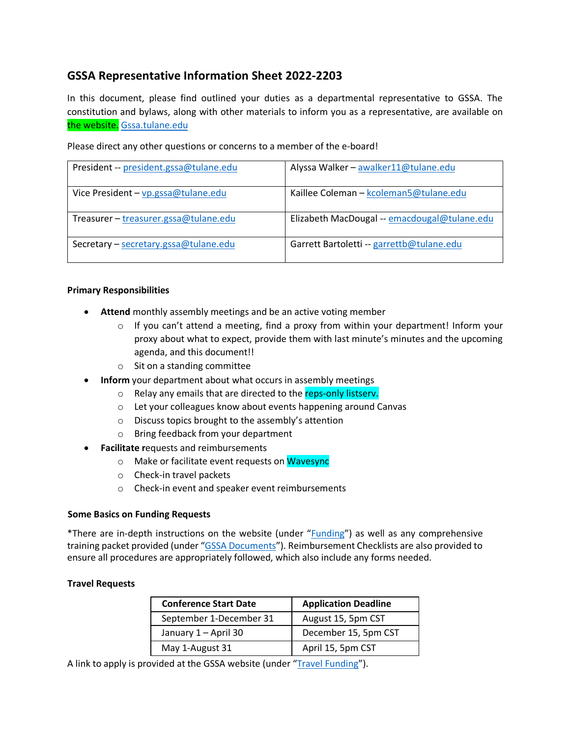# **GSSA Representative Information Sheet 2022-2203**

In this document, please find outlined your duties as a departmental representative to GSSA. The constitution and bylaws, along with other materials to inform you as a representative, are available on the website. Gssa.tulane.edu

Please direct any other questions or concerns to a member of the e-board!

| President -- president.gssa@tulane.edu | Alyssa Walker - awalker11@tulane.edu         |
|----------------------------------------|----------------------------------------------|
| Vice President - vp.gssa@tulane.edu    | Kaillee Coleman - kcoleman5@tulane.edu       |
| Treasurer - treasurer.gssa@tulane.edu  | Elizabeth MacDougal -- emacdougal@tulane.edu |
| Secretary - secretary.gssa@tulane.edu  | Garrett Bartoletti -- garrettb@tulane.edu    |

#### **Primary Responsibilities**

- **Attend** monthly assembly meetings and be an active voting member
	- $\circ$  If you can't attend a meeting, find a proxy from within your department! Inform your proxy about what to expect, provide them with last minute's minutes and the upcoming agenda, and this document!!
	- o Sit on a standing committee
- **Inform** your department about what occurs in assembly meetings
	- o Relay any emails that are directed to the reps-only listsery.
	- o Let your colleagues know about events happening around Canvas
	- o Discuss topics brought to the assembly's attention
	- o Bring feedback from your department
- **Facilitate r**equests and reimbursements
	- o Make or facilitate event requests on Wavesync
	- o Check-in travel packets
	- o Check-in event and speaker event reimbursements

## **Some Basics on Funding Requests**

\*There are in-depth instructions on the website (under "Funding") as well as any comprehensive training packet provided (under "GSSA Documents"). Reimbursement Checklists are also provided to ensure all procedures are appropriately followed, which also include any forms needed.

## **Travel Requests**

| <b>Conference Start Date</b> | <b>Application Deadline</b> |  |  |  |
|------------------------------|-----------------------------|--|--|--|
| September 1-December 31      | August 15, 5pm CST          |  |  |  |
| January 1 - April 30         | December 15, 5pm CST        |  |  |  |
| May 1-August 31              | April 15, 5pm CST           |  |  |  |

A link to apply is provided at the GSSA website (under "Travel Funding").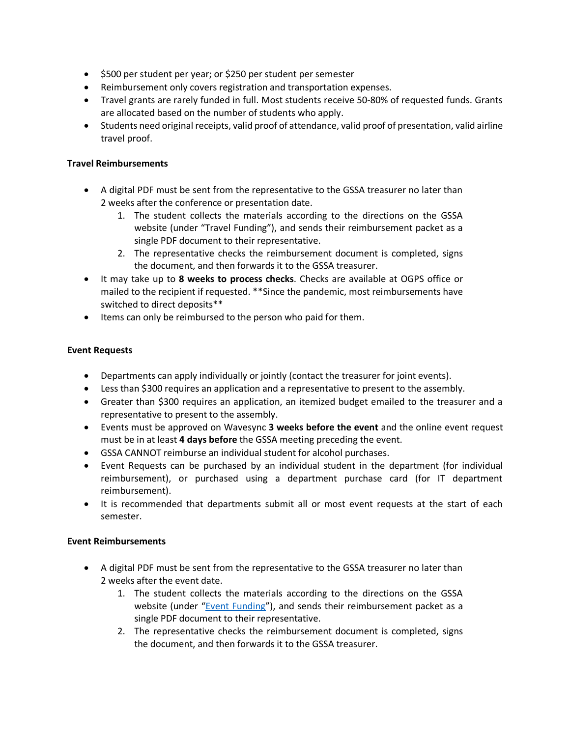- \$500 per student per year; or \$250 per student per semester
- Reimbursement only covers registration and transportation expenses.
- Travel grants are rarely funded in full. Most students receive 50-80% of requested funds. Grants are allocated based on the number of students who apply.
- Students need original receipts, valid proof of attendance, valid proof of presentation, valid airline travel proof.

## **Travel Reimbursements**

- A digital PDF must be sent from the representative to the GSSA treasurer no later than 2 weeks after the conference or presentation date.
	- 1. The student collects the materials according to the directions on the GSSA website (under "Travel Funding"), and sends their reimbursement packet as a single PDF document to their representative.
	- 2. The representative checks the reimbursement document is completed, signs the document, and then forwards it to the GSSA treasurer.
- It may take up to **8 weeks to process checks**. Checks are available at OGPS office or mailed to the recipient if requested. \*\*Since the pandemic, most reimbursements have switched to direct deposits\*\*
- Items can only be reimbursed to the person who paid for them.

## **Event Requests**

- Departments can apply individually or jointly (contact the treasurer for joint events).
- Less than \$300 requires an application and a representative to present to the assembly.
- Greater than \$300 requires an application, an itemized budget emailed to the treasurer and a representative to present to the assembly.
- Events must be approved on Wavesync **3 weeks before the event** and the online event request must be in at least **4 days before** the GSSA meeting preceding the event.
- GSSA CANNOT reimburse an individual student for alcohol purchases.
- Event Requests can be purchased by an individual student in the department (for individual reimbursement), or purchased using a department purchase card (for IT department reimbursement).
- It is recommended that departments submit all or most event requests at the start of each semester.

## **Event Reimbursements**

- A digital PDF must be sent from the representative to the GSSA treasurer no later than 2 weeks after the event date.
	- 1. The student collects the materials according to the directions on the GSSA website (under "Event Funding"), and sends their reimbursement packet as a single PDF document to their representative.
	- 2. The representative checks the reimbursement document is completed, signs the document, and then forwards it to the GSSA treasurer.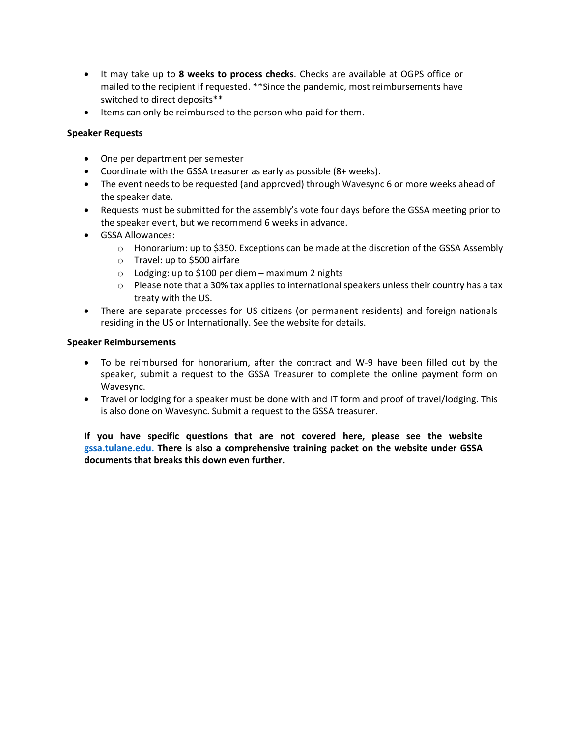- It may take up to **8 weeks to process checks**. Checks are available at OGPS office or mailed to the recipient if requested. \*\*Since the pandemic, most reimbursements have switched to direct deposits\*\*
- Items can only be reimbursed to the person who paid for them.

## **Speaker Requests**

- One per department per semester
- Coordinate with the GSSA treasurer as early as possible (8+ weeks).
- The event needs to be requested (and approved) through Wavesync 6 or more weeks ahead of the speaker date.
- Requests must be submitted for the assembly's vote four days before the GSSA meeting prior to the speaker event, but we recommend 6 weeks in advance.
- GSSA Allowances:
	- $\circ$  Honorarium: up to \$350. Exceptions can be made at the discretion of the GSSA Assembly
	- o Travel: up to \$500 airfare
	- $\circ$  Lodging: up to \$100 per diem maximum 2 nights
	- $\circ$  Please note that a 30% tax applies to international speakers unless their country has a tax treaty with the US.
- There are separate processes for US citizens (or permanent residents) and foreign nationals residing in the US or Internationally. See the website for details.

## **Speaker Reimbursements**

- To be reimbursed for honorarium, after the contract and W-9 have been filled out by the speaker, submit a request to the GSSA Treasurer to complete the online payment form on Wavesync.
- Travel or lodging for a speaker must be done with and IT form and proof of travel/lodging. This is also done on Wavesync. Submit a request to the GSSA treasurer.

**If you have specific questions that are not covered here, please see the website gssa.tulane.edu. There is also a comprehensive training packet on the website under GSSA documents that breaks this down even further.**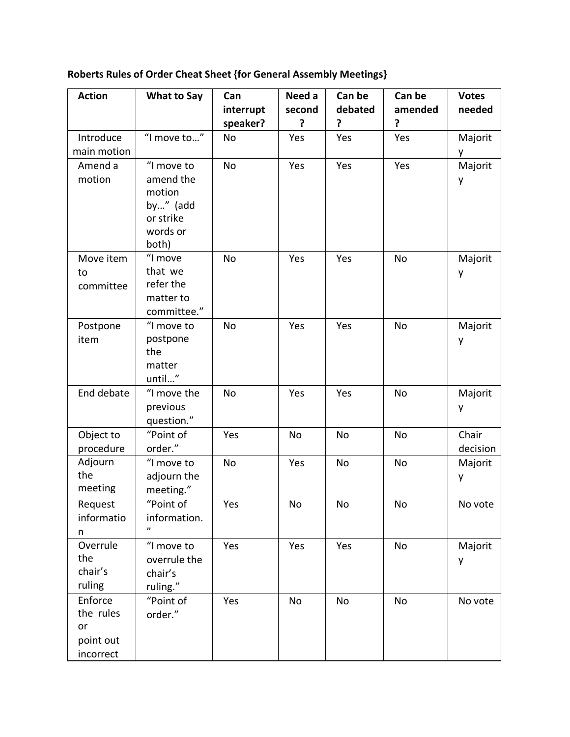| <b>Action</b>                                        | <b>What to Say</b>                                                              | Can                   | Need a      | Can be        | Can be       | <b>Votes</b>      |
|------------------------------------------------------|---------------------------------------------------------------------------------|-----------------------|-------------|---------------|--------------|-------------------|
|                                                      |                                                                                 | interrupt<br>speaker? | second<br>? | debated<br>?  | amended<br>? | needed            |
| Introduce<br>main motion                             | "I move to"                                                                     | <b>No</b>             | Yes         | Yes           | Yes          | Majorit<br>y      |
| Amend a<br>motion                                    | "I move to<br>amend the<br>motion<br>by" (add<br>or strike<br>words or<br>both) | <b>No</b>             | Yes         | Yes           | Yes          | Majorit<br>y      |
| Move item<br>to<br>committee                         | "I move<br>that we<br>refer the<br>matter to<br>committee."                     | <b>No</b>             | Yes         | Yes           | No           | Majorit<br>y      |
| Postpone<br>item                                     | "I move to<br>postpone<br>the<br>matter<br>until"                               | <b>No</b>             | Yes         | Yes           | <b>No</b>    | Majorit<br>y      |
| End debate                                           | "I move the<br>previous<br>question."                                           | <b>No</b>             | Yes         | Yes           | <b>No</b>    | Majorit<br>y      |
| Object to<br>procedure                               | "Point of<br>order."                                                            | Yes                   | No          | No            | No           | Chair<br>decision |
| Adjourn<br>the<br>meeting                            | "I move to<br>adjourn the<br>meeting."                                          | No                    | Yes         | No            | No           | Majorit<br>y      |
| Request<br>informatio<br>n                           | "Point of<br>information.<br>$\boldsymbol{\eta}$                                | Yes                   | No          | $\mathsf{No}$ | No           | No vote           |
| Overrule<br>the<br>chair's<br>ruling                 | "I move to<br>overrule the<br>chair's<br>ruling."                               | Yes                   | Yes         | Yes           | No           | Majorit<br>y      |
| Enforce<br>the rules<br>or<br>point out<br>incorrect | "Point of<br>order."                                                            | Yes                   | No          | No            | No           | No vote           |

**Roberts Rules of Order Cheat Sheet {for General Assembly Meetings}**